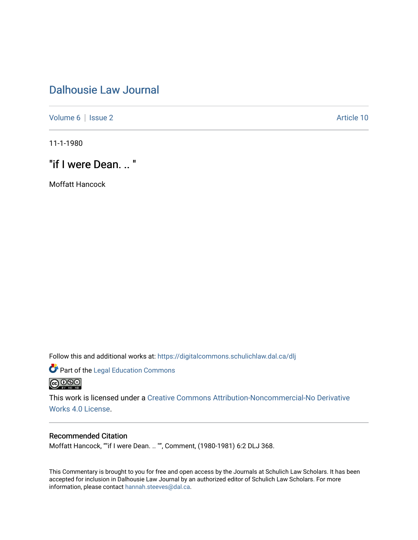# [Dalhousie Law Journal](https://digitalcommons.schulichlaw.dal.ca/dlj)

[Volume 6](https://digitalcommons.schulichlaw.dal.ca/dlj/vol6) | [Issue 2](https://digitalcommons.schulichlaw.dal.ca/dlj/vol6/iss2) Article 10

11-1-1980

"if I were Dean. .. "

Moffatt Hancock

Follow this and additional works at: [https://digitalcommons.schulichlaw.dal.ca/dlj](https://digitalcommons.schulichlaw.dal.ca/dlj?utm_source=digitalcommons.schulichlaw.dal.ca%2Fdlj%2Fvol6%2Fiss2%2F10&utm_medium=PDF&utm_campaign=PDFCoverPages) 

Part of the [Legal Education Commons](http://network.bepress.com/hgg/discipline/857?utm_source=digitalcommons.schulichlaw.dal.ca%2Fdlj%2Fvol6%2Fiss2%2F10&utm_medium=PDF&utm_campaign=PDFCoverPages) 



This work is licensed under a [Creative Commons Attribution-Noncommercial-No Derivative](https://creativecommons.org/licenses/by-nc-nd/4.0/)  [Works 4.0 License](https://creativecommons.org/licenses/by-nc-nd/4.0/).

# Recommended Citation

Moffatt Hancock, ""if I were Dean. .. "", Comment, (1980-1981) 6:2 DLJ 368.

This Commentary is brought to you for free and open access by the Journals at Schulich Law Scholars. It has been accepted for inclusion in Dalhousie Law Journal by an authorized editor of Schulich Law Scholars. For more information, please contact [hannah.steeves@dal.ca](mailto:hannah.steeves@dal.ca).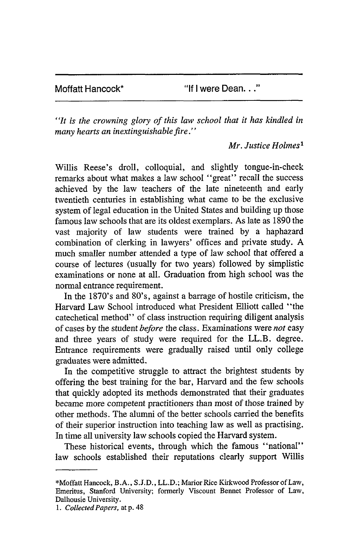Moffatt Hancock\* **"if I** were Dean. **.. "**

*"It is the crowning glory of this law school that it has kindled in many hearts an inextinguishable fire."*

*Mr. Justice Holmes'*

Willis Reese's droll, colloquial, and slightly tongue-in-cheek remarks about what makes a law school "great" recall the success achieved by the law teachers of the late nineteenth and early twentieth centuries in establishing what came to be the exclusive system of legal education in the United States and building up those famous law schools that are its oldest exemplars. As late as 1890 the vast majority of law students were trained by a haphazard combination of clerking in lawyers' offices and private study. A much smaller number attended a type of law school that offered a course of lectures (usually for two years) followed by simplistic examinations or none at all. Graduation from high school was the normal entrance requirement.

In the 1870's and 80's, against a barrage of hostile criticism, the Harvard Law School introduced what President Elliott called "the catechetical method" of class instruction requiring diligent analysis of cases by the student *before* the class. Examinations were *not* easy and three years of study were required for the LL.B. degree. Entrance requirements were gradually raised until only college graduates were admitted.

In the competitive struggle to attract the brightest students by offering the best training for the bar, Harvard and the few schools that quickly adopted its methods demonstrated that their graduates became more competent practitioners than most of those trained by other methods. The alumni of the better schools carried the benefits of their superior instruction into teaching law as well as practising. In time all university law schools copied the Harvard system.

These historical events, through which the famous "national" law schools established their reputations clearly support Willis

<sup>\*</sup>Moffatt Hancock, B.A., S.J.D., LL.D.; Marior Rice Kirkwood Professor of Law, Emeritus, Stanford University; formerly Viscount Bennet Professor of Law, Dalhousie University.

*<sup>1.</sup> Collected Papers,* at p. 48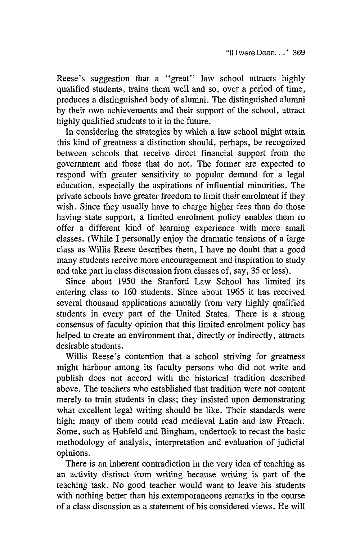Reese's suggestion that a "great" law school attracts highly qualified students, trains them well and so, over a period of time, produces a distinguished body of alumni. The distinguished alumni by their own achievements and their support of the school, attract highly qualified students to it in the future.

In considering the strategies by which a law school might attain this kind of greatness a distinction should, perhaps, be recognized between schools that receive direct financial support from the government and those that do not. The former are expected to respond with greater sensitivity to popular demand for a legal education, especially the aspirations of influential minorities. The private schools have greater freedom to limit their enrolment if they wish. Since they usually have to charge higher fees than do those having state support, a limited enrolment policy enables them to offer a different kind of learning experience with more small classes. (While I personally enjoy the dramatic tensions of a large class as Willis Reese describes them, I have no doubt that a good many students receive more encouragement and inspiration to study and take part in class discussion from classes of, say, 35 or less).

Since about 1950 the Stanford Law School has limited its entering class to 160 students. Since about 1965 it has received several thousand applications annually from very highly qualified students in every part of the United States. There is a strong consensus of faculty opinion that this limited enrolment policy has helped to create an environment that, directly or indirectly, attracts desirable students.

Willis Reese's contention that a school striving for greatness might harbour among its faculty persons who did not write and publish does not accord with the historical tradition described above. The teachers who established that tradition were not content merely to train students in class; they insisted upon demonstrating what excellent legal writing should be like. Their standards were high; many of them could read medieval Latin and law French. Some, such as Hohfeld and Bingham, undertook to recast the basic methodology of analysis, interpretation and evaluation of judicial opinions.

There is an inherent contradiction in the very idea of teaching as an activity distinct from writing because writing is part of the teaching task. No good teacher would want to leave his students with nothing better than his extemporaneous remarks in the course of a class discussion as a statement of his considered views. He will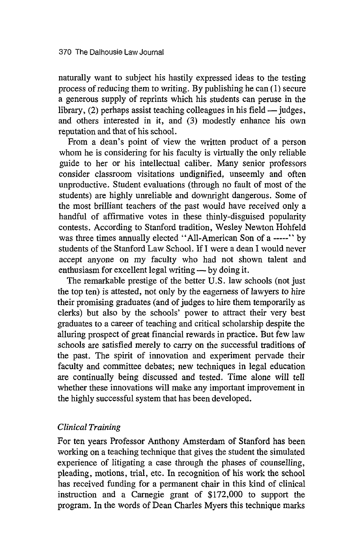naturally want to subject his hastily expressed ideas to the testing process of reducing them to writing. By publishing he can (1) secure a generous supply of reprints which his students can peruse in the library,  $(2)$  perhaps assist teaching colleagues in his field  $-$  judges, and others interested in it, and (3) modestly enhance his own reputation and that of his school.

From a dean's point of view the written product of a person whom he is considering for his faculty is virtually the only reliable guide to her or his intellectual caliber. Many senior professors consider classroom visitations undignified, unseemly and often unproductive. Student evaluations (through no fault of most of the students) are highly unreliable and downright dangerous. Some of the most brilliant teachers of the past would have received only a handful of affirmative votes in these thinly-disguised popularity contests. According to Stanford tradition, Wesley Newton Hohfeld was three times annually elected "All-American Son of a -----" by students of the Stanford Law School. If I were a dean I would never accept anyone on my faculty who had not shown talent and enthusiasm for excellent legal writing - by doing it.

The remarkable prestige of the better U.S. law schools (not just the top ten) is attested, not only by the eagerness of lawyers to hire their promising graduates (and of judges to hire them temporarily as clerks) but also by the schools' power to attract their very best graduates to a career of teaching and critical scholarship despite the alluring prospect of great financial rewards in practice. But few law schools are satisfied merely to carry on the successful traditions of the past. The spirit of innovation and experiment pervade their faculty and committee debates; new techniques in legal education are continually being discussed and tested. Time alone will tell whether these innovations will make any important improvement in the highly successful system that has been developed.

### *Clinical Training*

For ten years Professor Anthony Amsterdam of Stanford has been working on a teaching technique that gives the student the simulated experience of litigating a case through the phases of counselling, pleading, motions, trial, etc. In recognition of his work the school has received funding for a permanent chair in this kind of clinical instruction and a Carnegie grant of \$172,000 to support the program. In the words of Dean Charles Myers this technique marks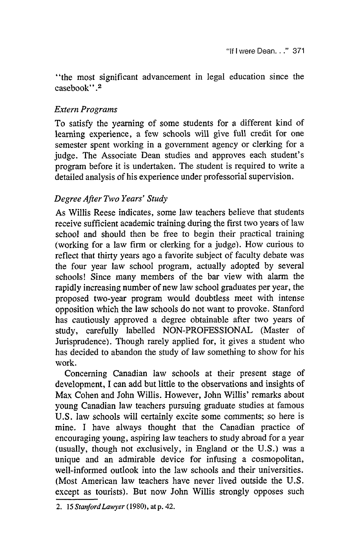"the most significant advancement in legal education since the casebook".<sup>2</sup>

# *Extern Programs*

To satisfy the yearning of some students for a different kind of learning experience, a few schools will give full credit for one semester spent working in a government agency or clerking for a judge. The Associate Dean studies and approves each student's program before it is undertaken. The student is required to write a detailed analysis of his experience under professorial supervision.

# *Degree After Two Years' Study*

As Willis Reese indicates, some law teachers believe that students receive sufficient academic training during the first two years of law school and should then be free to begin their practical training (working for a law firm or clerking for a judge). How curious to reflect that thirty years ago a favorite subject of faculty debate was the four year law school program, actually adopted by several schools! Since many members of the bar view with alarm the rapidly increasing number of new law school graduates per year, the proposed two-year program would doubtless meet with intense opposition which the law schools do not want to provoke. Stanford has cautiously approved a degree obtainable after two years of study, carefully labelled NON-PROFESSIONAL (Master of Jurisprudence). Though rarely applied for, it gives a student who has decided to abandon the study of law something to show for his work.

Concerning Canadian law schools at their present stage of development, I can add but little to the observations and insights of Max Cohen and John Willis. However, John Willis' remarks about young Canadian law teachers pursuing graduate studies at famous U.S. law schools will certainly excite some comments; so here is mine. I have always thought that the Canadian practice of encouraging young, aspiring law teachers to study abroad for a year (usually, though not exclusively, in England or the U.S.) was a unique and an admirable device for infusing a cosmopolitan, well-informed outlook into the law schools and their universities. (Most American law teachers have never lived outside the U.S. except as tourists). But now John Willis strongly opposes such

<sup>2.</sup> *15 StanfordLawyer* (1980), atp. 42.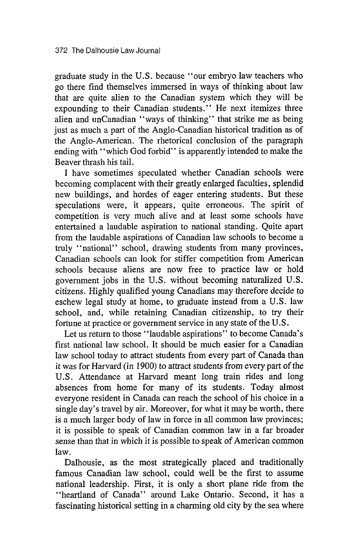graduate study in the U.S. because "our embryo law teachers who go there find themselves immersed in ways of thinking about law that are quite alien to the Canadian system which they will be expounding to their Canadian students." He next itemizes three alien and unCanadian "ways of thinking" that strike me as being just as much a part of the Anglo-Canadian historical tradition as of the Anglo-American. The rhetorical conclusion of the paragraph ending with "which God forbid" is apparently intended to make the Beaver thrash his tail.

I have sometimes speculated whether Canadian schools were becoming complacent with their greatly enlarged faculties, splendid new buildings, and hordes of eager entering students. But these speculations were, it appears, quite erroneous. The spirit of competition is very much alive and at least some schools have entertained a laudable aspiration to national standing. Quite apart from the laudable aspirations of Canadian law schools to become a truly "national" school, drawing students from many provinces, Canadian schools can look for stiffer competition from American schools because aliens are now free to practice law or hold government jobs in the U.S. without becoming naturalized U.S. citizens. Highly qualified young Canadians may therefore decide to eschew legal study at home, to graduate instead from a U.S. law school, and, while retaining Canadian citizenship, to try their fortune at practice or government service in any state of the U.S.

Let us return to those "laudable aspirations" to become Canada's first national law school. It should be much easier for a Canadian law school today to attract students from every part of Canada than it was for Harvard (in 1900) to attract students from every part of the U.S. Attendance at Harvard meant long train rides and long absences from home for many of its students. Today almost everyone resident in Canada can reach the school of his choice in a single day's travel by air. Moreover, for what it may be worth, there is a much larger body of law in force in all common law provinces; it is possible to speak of Canadian common law in a far broader sense than that in which it is possible to speak of American common law.

Dalhousie, as the most strategically placed and traditionally famous Canadian law school, could well be the first to assume national leadership. First, it is only a short plane ride from the "heartland of Canada" around Lake Ontario. Second, it has a fascinating historical setting in a charming old city by the sea where